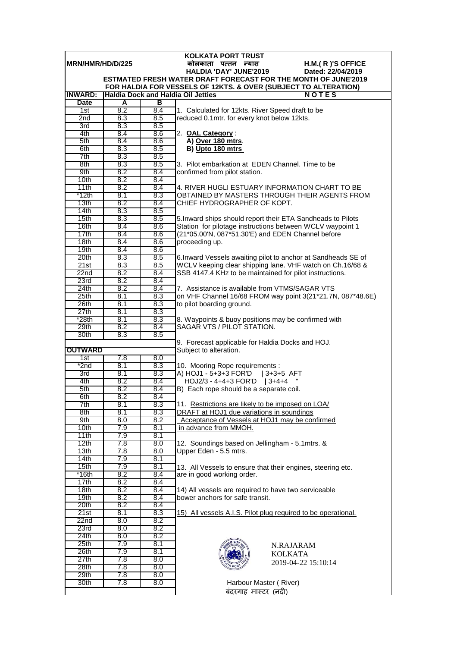| <b>KOLKATA PORT TRUST</b> |            |            |                                                                                                                             |  |  |  |
|---------------------------|------------|------------|-----------------------------------------------------------------------------------------------------------------------------|--|--|--|
| MRN/HMR/HD/D/225          |            |            | कोलकाता पत्तन न्यास<br>H.M.(R)'S OFFICE                                                                                     |  |  |  |
|                           |            |            | <b>HALDIA 'DAY' JUNE'2019</b><br>Dated: 22/04/2019<br><b>ESTMATED FRESH WATER DRAFT FORECAST FOR THE MONTH OF JUNE'2019</b> |  |  |  |
|                           |            |            | FOR HALDIA FOR VESSELS OF 12KTS. & OVER (SUBJECT TO ALTERATION)                                                             |  |  |  |
| <b>INWARD:</b>            |            |            | <b>Haldia Dock and Haldia Oil Jetties</b><br><b>NOTES</b>                                                                   |  |  |  |
| <b>Date</b>               | A          | в          |                                                                                                                             |  |  |  |
| 1st                       | 8.2        | 8.4        | 1. Calculated for 12kts. River Speed draft to be                                                                            |  |  |  |
| 2 <sub>nd</sub>           | 8.3        | 8.5        | reduced 0.1mtr. for every knot below 12kts.                                                                                 |  |  |  |
| 3rd                       | 8.3        | 8.5        |                                                                                                                             |  |  |  |
| 4th                       | 8.4        | 8.6        | 2. OAL Category:                                                                                                            |  |  |  |
| 5th                       | 8.4        | 8.6        | A) Over 180 mtrs.                                                                                                           |  |  |  |
| 6th<br>7th                | 8.3<br>8.3 | 8.5<br>8.5 | B) Upto 180 mtrs                                                                                                            |  |  |  |
| 8th                       | 8.3        | 8.5        | 3. Pilot embarkation at EDEN Channel. Time to be                                                                            |  |  |  |
| 9th                       | 8.2        | 8.4        | confirmed from pilot station.                                                                                               |  |  |  |
| 10 <sub>th</sub>          | 8.2        | 8.4        |                                                                                                                             |  |  |  |
| 11th                      | 8.2        | 8.4        | 4. RIVER HUGLI ESTUARY INFORMATION CHART TO BE                                                                              |  |  |  |
| $*12th$                   | 8.1        | 8.3        | OBTAINED BY MASTERS THROUGH THEIR AGENTS FROM                                                                               |  |  |  |
| 13 <sub>th</sub>          | 8.2        | 8.4        | CHIEF HYDROGRAPHER OF KOPT.                                                                                                 |  |  |  |
| 14th                      | 8.3        | 8.5        |                                                                                                                             |  |  |  |
| 15th                      | 8.3        | 8.5        | 5. Inward ships should report their ETA Sandheads to Pilots                                                                 |  |  |  |
| 16th                      | 8.4        | 8.6        | Station for pilotage instructions between WCLV waypoint 1                                                                   |  |  |  |
| 17th<br>18th              | 8.4<br>8.4 | 8.6<br>8.6 | (21*05.00'N, 087*51.30'E) and EDEN Channel before<br>proceeding up.                                                         |  |  |  |
| 19 <sub>th</sub>          | 8.4        | 8.6        |                                                                                                                             |  |  |  |
| 20th                      | 8.3        | 8.5        | 6. Inward Vessels awaiting pilot to anchor at Sandheads SE of                                                               |  |  |  |
| 21st                      | 8.3        | 8.5        | WCLV keeping clear shipping lane. VHF watch on Ch.16/68 &                                                                   |  |  |  |
| 22n <sub>d</sub>          | 8.2        | 8.4        | SSB 4147.4 KHz to be maintained for pilot instructions.                                                                     |  |  |  |
| 23rd                      | 8.2        | 8.4        |                                                                                                                             |  |  |  |
| 24th                      | 8.2        | 8.4        | 7. Assistance is available from VTMS/SAGAR VTS                                                                              |  |  |  |
| 25th                      | 8.1        | 8.3        | on VHF Channel 16/68 FROM way point 3(21*21.7N, 087*48.6E)                                                                  |  |  |  |
| 26th                      | 8.1        | 8.3        | to pilot boarding ground.                                                                                                   |  |  |  |
| 27th<br>$*28th$           | 8.1<br>8.1 | 8.3<br>8.3 | 8. Waypoints & buoy positions may be confirmed with                                                                         |  |  |  |
| 29th                      | 8.2        | 8.4        | SAGAR VTS / PILOT STATION.                                                                                                  |  |  |  |
| 30th                      | 8.3        | 8.5        |                                                                                                                             |  |  |  |
|                           |            |            | 9. Forecast applicable for Haldia Docks and HOJ.                                                                            |  |  |  |
| <b>OUTWARD</b>            |            |            | Subject to alteration.                                                                                                      |  |  |  |
| 1st                       | 7.8        | 8.0        |                                                                                                                             |  |  |  |
| *2nd                      | 8.1        | 8.3        | 10. Mooring Rope requirements :                                                                                             |  |  |  |
| 3rd                       | 8.1        | 8.3        | A) HOJ1 - 5+3+3 FOR'D<br>$ 3+3+5$ AFT                                                                                       |  |  |  |
| 4th<br>5th                | 8.2<br>8.2 | 8.4<br>8.4 | $HOJ2/3 - 4+4+3$ FOR'D   3+4+4<br>B) Each rope should be a separate coil.                                                   |  |  |  |
| 6th                       | 8.2        | 8.4        |                                                                                                                             |  |  |  |
| 7th                       | 8.1        | 8.3        | 11. Restrictions are likely to be imposed on LOA/                                                                           |  |  |  |
| 8th                       | 8.1        | 8.3        | DRAFT at HOJ1 due variations in soundings                                                                                   |  |  |  |
| 9th                       | 8.0        | 8.2        | Acceptance of Vessels at HOJ1 may be confirmed                                                                              |  |  |  |
| 10th                      | 7.9        | 8.1        | in advance from MMOH.                                                                                                       |  |  |  |
| 11th                      | 7.9        | 8.1        |                                                                                                                             |  |  |  |
| 12th                      | 7.8        | 8.0        | 12. Soundings based on Jellingham - 5.1 mtrs. &                                                                             |  |  |  |
| 13 <sub>th</sub><br>14th  | 7.8        | 8.0<br>8.1 | Upper Eden - 5.5 mtrs.                                                                                                      |  |  |  |
| 15 <sub>th</sub>          | 7.9<br>7.9 | 8.1        |                                                                                                                             |  |  |  |
| $*16th$                   | 8.2        | 8.4        | 13. All Vessels to ensure that their engines, steering etc.<br>are in good working order.                                   |  |  |  |
| 17th                      | 8.2        | 8.4        |                                                                                                                             |  |  |  |
| 18th                      | 8.2        | 8.4        | 14) All vessels are required to have two serviceable                                                                        |  |  |  |
| 19th                      | 8.2        | 8.4        | bower anchors for safe transit.                                                                                             |  |  |  |
| 20th                      | 8.2        | 8.4        |                                                                                                                             |  |  |  |
| 21st                      | 8.1        | 8.3        | 15) All vessels A.I.S. Pilot plug required to be operational.                                                               |  |  |  |
| 22nd                      | 8.0        | 8.2        |                                                                                                                             |  |  |  |
| 23rd                      | 8.0        | 8.2        |                                                                                                                             |  |  |  |
| 24th<br>25 <sub>th</sub>  | 8.0<br>7.9 | 8.2<br>8.1 |                                                                                                                             |  |  |  |
| 26th                      | 7.9        | 8.1        | N.RAJARAM                                                                                                                   |  |  |  |
| 27th                      | 7.8        | 8.0        | <b>KOLKATA</b>                                                                                                              |  |  |  |
| 28th                      | 7.8        | 8.0        | 2019-04-22 15:10:14                                                                                                         |  |  |  |
| 29th                      | 7.8        | 8.0        |                                                                                                                             |  |  |  |
| 30th                      | 7.8        | 8.0        | Harbour Master (River)                                                                                                      |  |  |  |
|                           |            |            | <u>बंदरगाह मास्टर (नदी)</u>                                                                                                 |  |  |  |